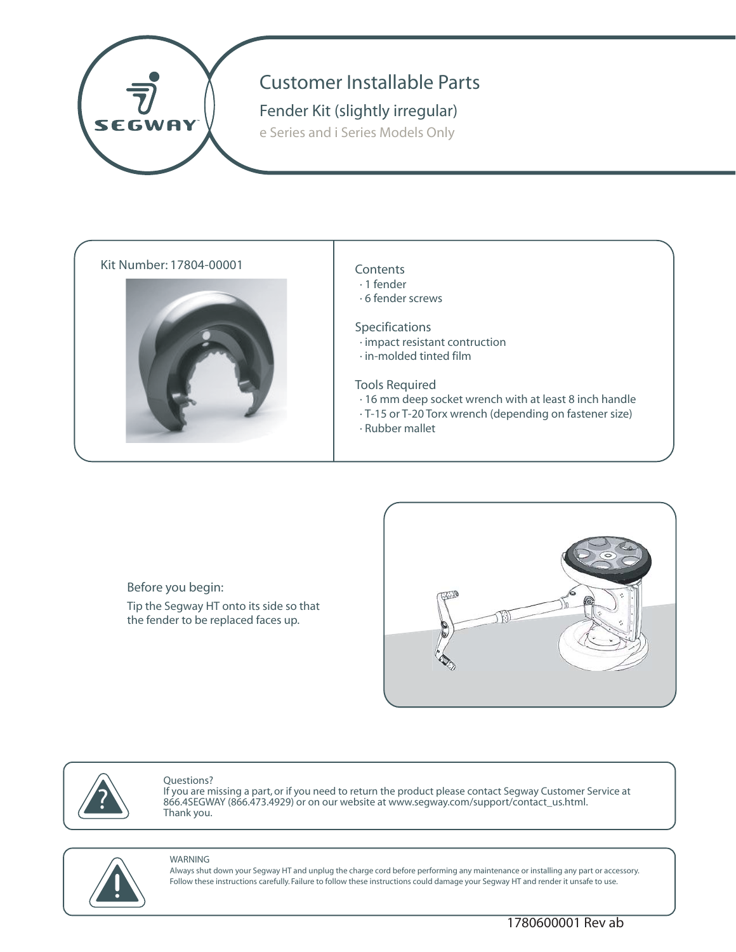

# Customer Installable Parts

# **Fender Kit (slightly irregular)**

e Series and i Series Models Only

## Kit Number: 17804-00001 Contents



- · 1 fender
- · 6 fender screws

#### Specifications

- · impact resistant contruction
- · in-molded tinted film

#### Tools Required

- · 16 mm deep socket wrench with at least 8 inch handle
- · T-15 or T-20 Torx wrench (depending on fastener size)
- · Rubber mallet

**Before you begin:** Tip the Segway HT onto its side so that the fender to be replaced faces up.





#### Questions?

If you are missing a part, or if you need to return the product please contact Segway Customer Service at 866.4SEGWAY (866.473.4929) or on our website at www.segway.com/support/contact\_us.html. Thank you. ?



#### WARNING

Always shut down your Segway HT and unplug the charge cord before performing any maintenance or installing any part or accessory. Follow these instructions carefully. Failure to follow these instructions could damage your Segway HT and render it unsafe to use.